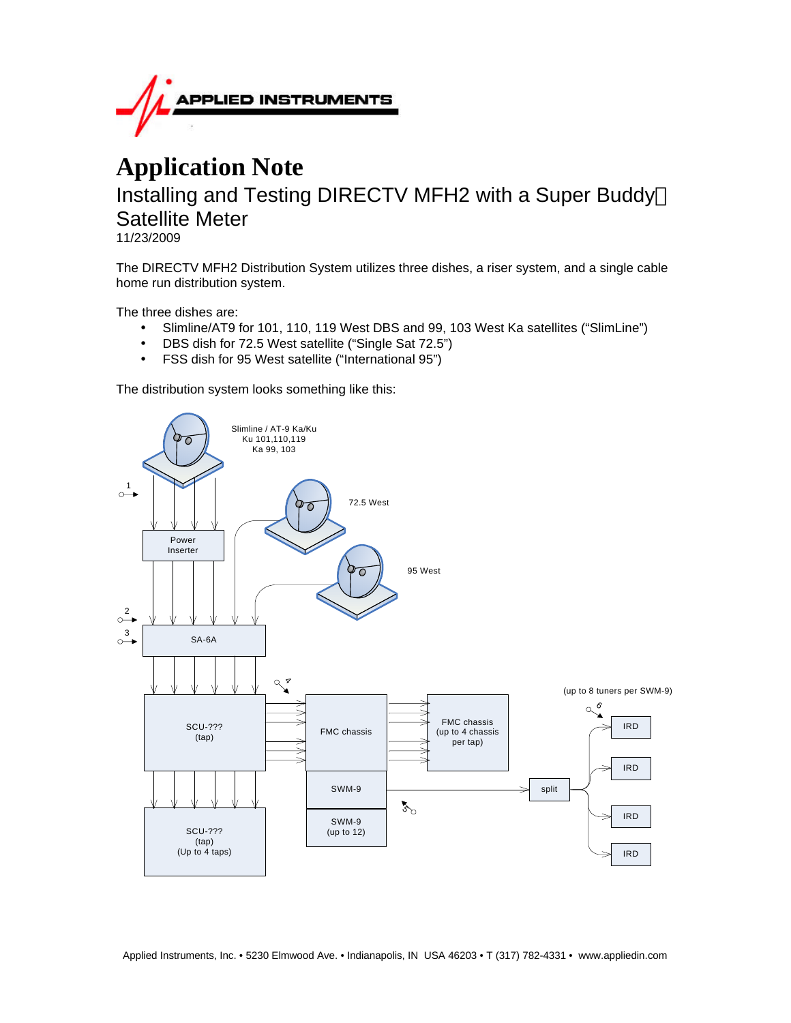

# **Application Note** Installing and Testing DIRECTV MFH2 with a Super Buddy<sup>™</sup> Satellite Meter

11/23/2009

The DIRECTV MFH2 Distribution System utilizes three dishes, a riser system, and a single cable home run distribution system.

The three dishes are:

- Slimline/AT9 for 101, 110, 119 West DBS and 99, 103 West Ka satellites ("SlimLine")
- DBS dish for 72.5 West satellite ("Single Sat 72.5")
- FSS dish for 95 West satellite ("International 95")

The distribution system looks something like this:

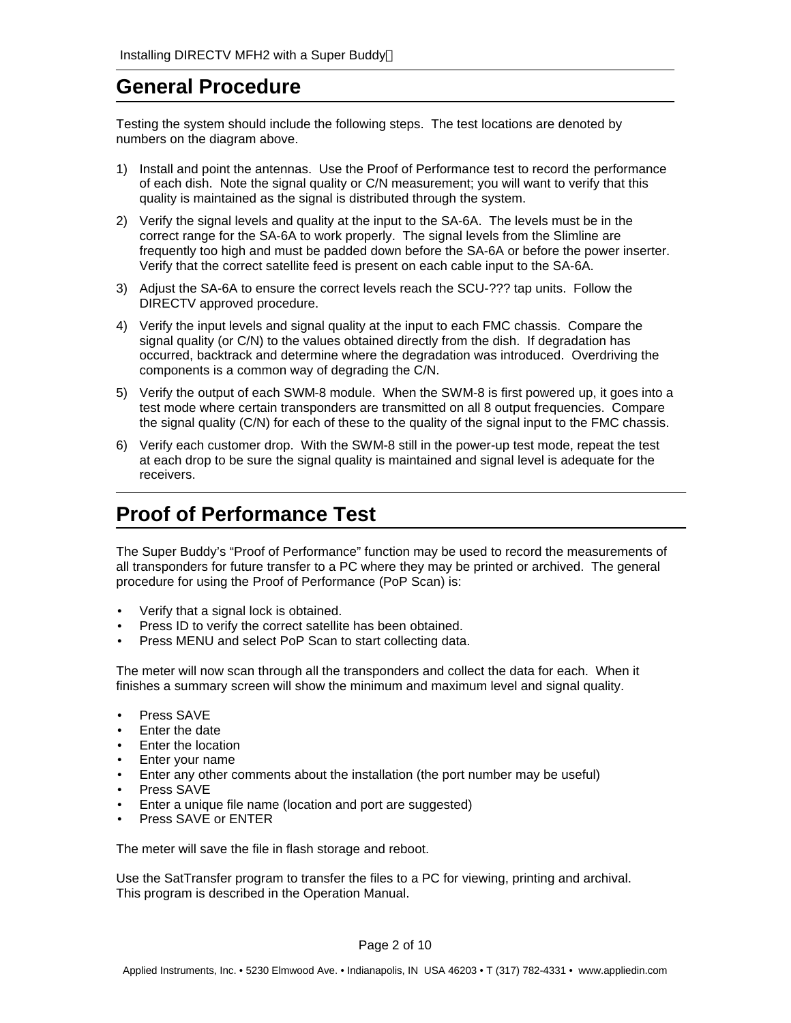## **General Procedure**

Testing the system should include the following steps. The test locations are denoted by numbers on the diagram above.

- 1) Install and point the antennas. Use the Proof of Performance test to record the performance of each dish. Note the signal quality or C/N measurement; you will want to verify that this quality is maintained as the signal is distributed through the system.
- 2) Verify the signal levels and quality at the input to the SA-6A. The levels must be in the correct range for the SA-6A to work properly. The signal levels from the Slimline are frequently too high and must be padded down before the SA-6A or before the power inserter. Verify that the correct satellite feed is present on each cable input to the SA-6A.
- 3) Adjust the SA-6A to ensure the correct levels reach the SCU-??? tap units. Follow the DIRECTV approved procedure.
- 4) Verify the input levels and signal quality at the input to each FMC chassis. Compare the signal quality (or C/N) to the values obtained directly from the dish. If degradation has occurred, backtrack and determine where the degradation was introduced. Overdriving the components is a common way of degrading the C/N.
- 5) Verify the output of each SWM-8 module. When the SWM-8 is first powered up, it goes into a test mode where certain transponders are transmitted on all 8 output frequencies. Compare the signal quality (C/N) for each of these to the quality of the signal input to the FMC chassis.
- 6) Verify each customer drop. With the SWM-8 still in the power-up test mode, repeat the test at each drop to be sure the signal quality is maintained and signal level is adequate for the receivers.

# **Proof of Performance Test**

The Super Buddy's "Proof of Performance" function may be used to record the measurements of all transponders for future transfer to a PC where they may be printed or archived. The general procedure for using the Proof of Performance (PoP Scan) is:

- Verify that a signal lock is obtained.
- Press ID to verify the correct satellite has been obtained.
- Press MENU and select PoP Scan to start collecting data.

The meter will now scan through all the transponders and collect the data for each. When it finishes a summary screen will show the minimum and maximum level and signal quality.

- Press SAVE
- Enter the date
- Enter the location
- Enter your name
- Enter any other comments about the installation (the port number may be useful)
- Press SAVE
- Enter a unique file name (location and port are suggested)
- Press SAVE or ENTER

The meter will save the file in flash storage and reboot.

Use the SatTransfer program to transfer the files to a PC for viewing, printing and archival. This program is described in the Operation Manual.

Page 2 of 10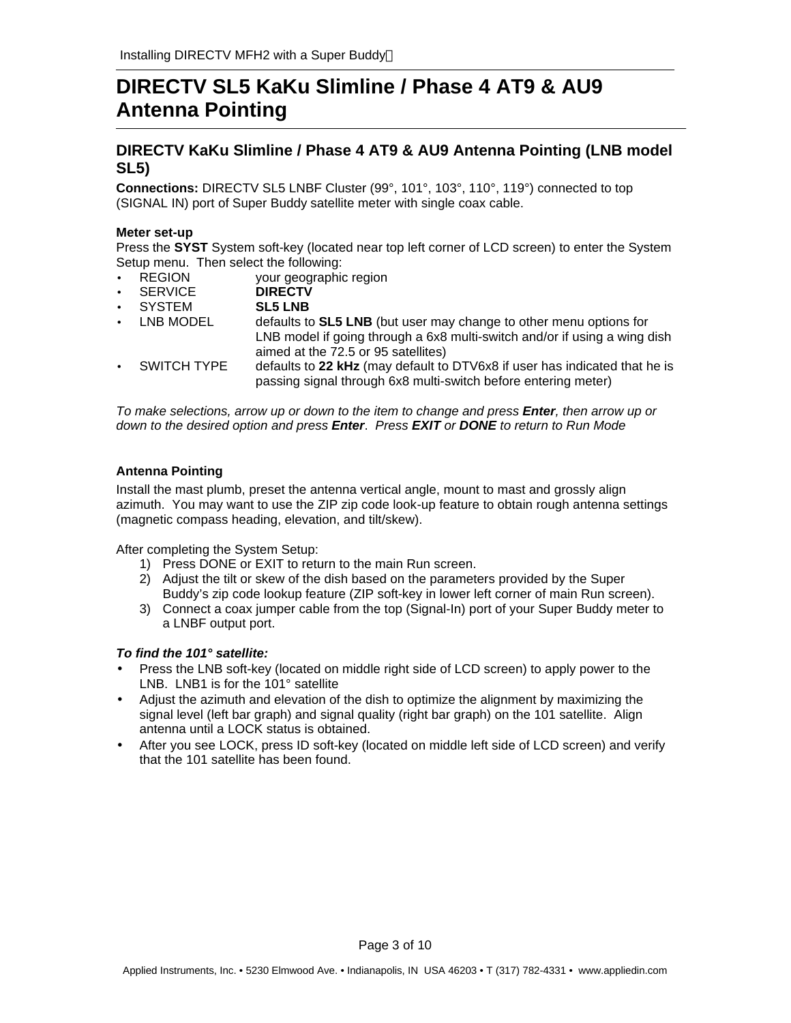# **DIRECTV SL5 KaKu Slimline / Phase 4 AT9 & AU9 Antenna Pointing**

### **DIRECTV KaKu Slimline / Phase 4 AT9 & AU9 Antenna Pointing (LNB model SL5)**

**Connections:** DIRECTV SL5 LNBF Cluster (99°, 101°, 103°, 110°, 119°) connected to top (SIGNAL IN) port of Super Buddy satellite meter with single coax cable.

### **Meter set-up**

Press the **SYST** System soft-key (located near top left corner of LCD screen) to enter the System Setup menu. Then select the following:

- **REGION** your geographic region<br> **SERVICE** DIRECTV
- SERVICE
- SYSTEM **SL5 LNB**
- LNB MODEL defaults to **SL5 LNB** (but user may change to other menu options for LNB model if going through a 6x8 multi-switch and/or if using a wing dish aimed at the 72.5 or 95 satellites)
- SWITCH TYPE defaults to **22 kHz** (may default to DTV6x8 if user has indicated that he is passing signal through 6x8 multi-switch before entering meter)

*To make selections, arrow up or down to the item to change and press Enter, then arrow up or down to the desired option and press Enter*. *Press EXIT or DONE to return to Run Mode*

### **Antenna Pointing**

Install the mast plumb, preset the antenna vertical angle, mount to mast and grossly align azimuth. You may want to use the ZIP zip code look-up feature to obtain rough antenna settings (magnetic compass heading, elevation, and tilt/skew).

After completing the System Setup:

- 1) Press DONE or EXIT to return to the main Run screen.
- 2) Adjust the tilt or skew of the dish based on the parameters provided by the Super Buddy's zip code lookup feature (ZIP soft-key in lower left corner of main Run screen).
- 3) Connect a coax jumper cable from the top (Signal-In) port of your Super Buddy meter to a LNBF output port.

### *To find the 101° satellite:*

- Press the LNB soft-key (located on middle right side of LCD screen) to apply power to the LNB. LNB1 is for the 101° satellite
- Adjust the azimuth and elevation of the dish to optimize the alignment by maximizing the signal level (left bar graph) and signal quality (right bar graph) on the 101 satellite. Align antenna until a LOCK status is obtained.
- After you see LOCK, press ID soft-key (located on middle left side of LCD screen) and verify that the 101 satellite has been found.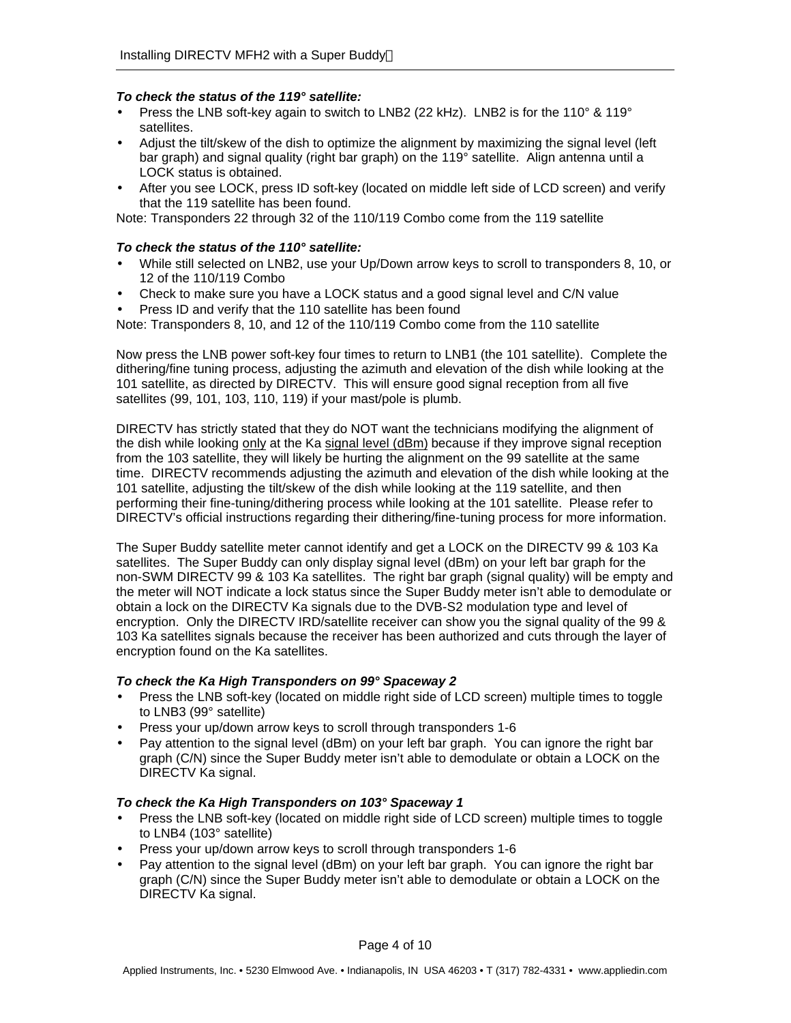### *To check the status of the 119° satellite:*

- Press the LNB soft-key again to switch to LNB2 (22 kHz). LNB2 is for the 110 $^{\circ}$  & 119 $^{\circ}$ satellites.
- Adjust the tilt/skew of the dish to optimize the alignment by maximizing the signal level (left bar graph) and signal quality (right bar graph) on the 119° satellite. Align antenna until a LOCK status is obtained.
- After you see LOCK, press ID soft-key (located on middle left side of LCD screen) and verify that the 119 satellite has been found.

Note: Transponders 22 through 32 of the 110/119 Combo come from the 119 satellite

### *To check the status of the 110° satellite:*

- While still selected on LNB2, use your Up/Down arrow keys to scroll to transponders 8, 10, or 12 of the 110/119 Combo
- Check to make sure you have a LOCK status and a good signal level and C/N value
- Press ID and verify that the 110 satellite has been found

Note: Transponders 8, 10, and 12 of the 110/119 Combo come from the 110 satellite

Now press the LNB power soft-key four times to return to LNB1 (the 101 satellite). Complete the dithering/fine tuning process, adjusting the azimuth and elevation of the dish while looking at the 101 satellite, as directed by DIRECTV. This will ensure good signal reception from all five satellites (99, 101, 103, 110, 119) if your mast/pole is plumb.

DIRECTV has strictly stated that they do NOT want the technicians modifying the alignment of the dish while looking only at the Ka signal level (dBm) because if they improve signal reception from the 103 satellite, they will likely be hurting the alignment on the 99 satellite at the same time. DIRECTV recommends adjusting the azimuth and elevation of the dish while looking at the 101 satellite, adjusting the tilt/skew of the dish while looking at the 119 satellite, and then performing their fine-tuning/dithering process while looking at the 101 satellite. Please refer to DIRECTV's official instructions regarding their dithering/fine-tuning process for more information.

The Super Buddy satellite meter cannot identify and get a LOCK on the DIRECTV 99 & 103 Ka satellites. The Super Buddy can only display signal level (dBm) on your left bar graph for the non-SWM DIRECTV 99 & 103 Ka satellites. The right bar graph (signal quality) will be empty and the meter will NOT indicate a lock status since the Super Buddy meter isn't able to demodulate or obtain a lock on the DIRECTV Ka signals due to the DVB-S2 modulation type and level of encryption. Only the DIRECTV IRD/satellite receiver can show you the signal quality of the 99 & 103 Ka satellites signals because the receiver has been authorized and cuts through the layer of encryption found on the Ka satellites.

### *To check the Ka High Transponders on 99° Spaceway 2*

- Press the LNB soft-key (located on middle right side of LCD screen) multiple times to toggle to LNB3 (99° satellite)
- Press your up/down arrow keys to scroll through transponders 1-6
- Pay attention to the signal level (dBm) on your left bar graph. You can ignore the right bar graph (C/N) since the Super Buddy meter isn't able to demodulate or obtain a LOCK on the DIRECTV Ka signal.

### *To check the Ka High Transponders on 103° Spaceway 1*

- Press the LNB soft-key (located on middle right side of LCD screen) multiple times to toggle to LNB4 (103° satellite)
- Press your up/down arrow keys to scroll through transponders 1-6
- Pay attention to the signal level (dBm) on your left bar graph. You can ignore the right bar graph (C/N) since the Super Buddy meter isn't able to demodulate or obtain a LOCK on the DIRECTV Ka signal.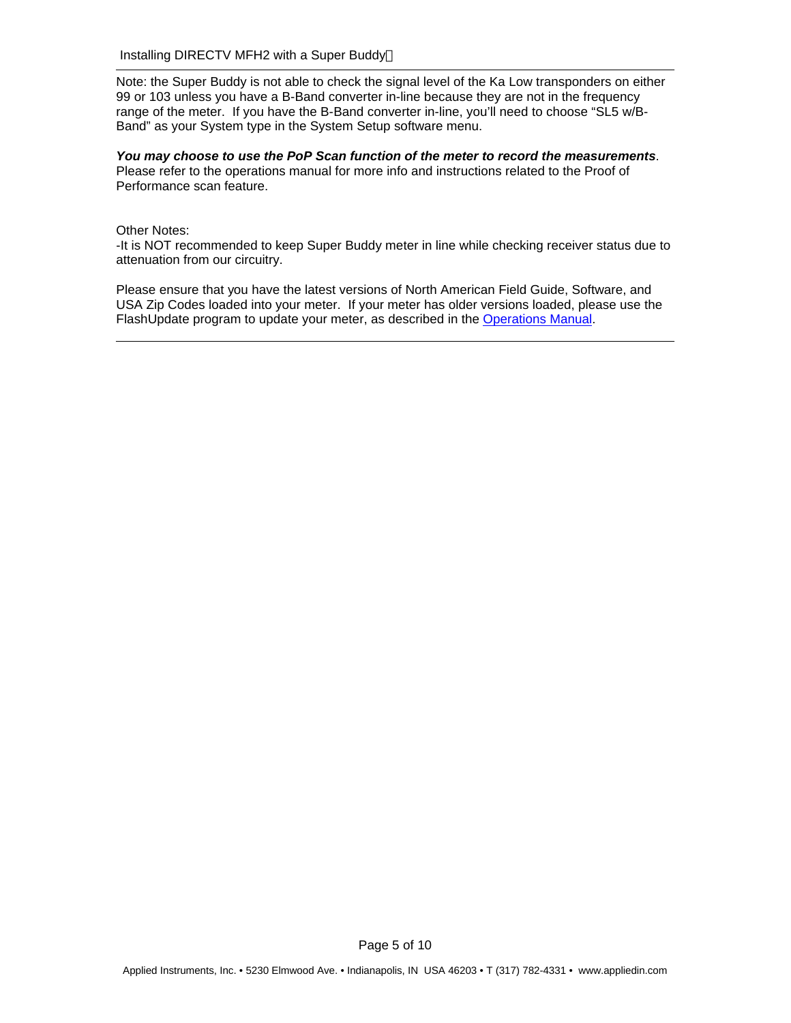Note: the Super Buddy is not able to check the signal level of the Ka Low transponders on either 99 or 103 unless you have a B-Band converter in-line because they are not in the frequency range of the meter. If you have the B-Band converter in-line, you'll need to choose "SL5 w/B-Band" as your System type in the System Setup software menu.

#### *You may choose to use the PoP Scan function of the meter to record the measurements*. Please refer to the operations manual for more info and instructions related to the Proof of Performance scan feature.

### Other Notes:

-It is NOT recommended to keep Super Buddy meter in line while checking receiver status due to attenuation from our circuitry.

Please ensure that you have the latest versions of North American Field Guide, Software, and USA Zip Codes loaded into your meter. If your meter has older versions loaded, please use the FlashUpdate program to update your meter, as described in the Operations Manual.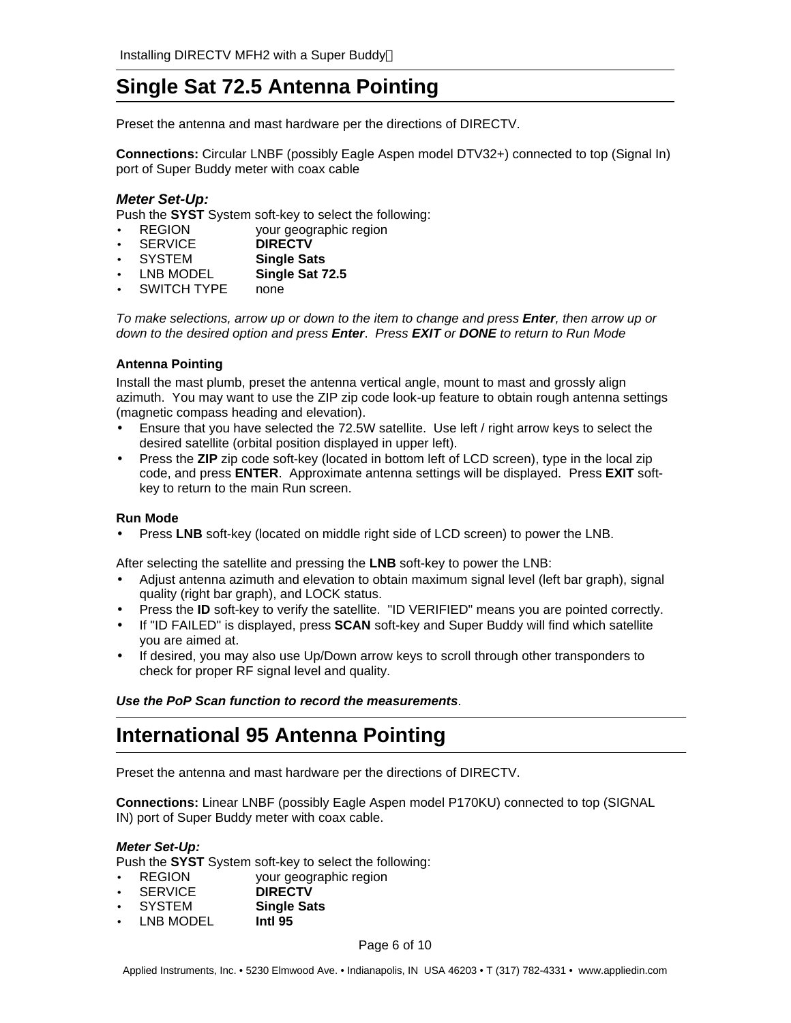# **Single Sat 72.5 Antenna Pointing**

Preset the antenna and mast hardware per the directions of DIRECTV.

**Connections:** Circular LNBF (possibly Eagle Aspen model DTV32+) connected to top (Signal In) port of Super Buddy meter with coax cable

### *Meter Set-Up:*

Push the **SYST** System soft-key to select the following:

- REGION your geographic region
- SERVICE **DIRECTV**
- SYSTEM **Single Sats**
- LNB MODEL **Single Sat 72.5**
- SWITCH TYPE none

*To make selections, arrow up or down to the item to change and press Enter, then arrow up or down to the desired option and press Enter*. *Press EXIT or DONE to return to Run Mode*

### **Antenna Pointing**

Install the mast plumb, preset the antenna vertical angle, mount to mast and grossly align azimuth. You may want to use the ZIP zip code look-up feature to obtain rough antenna settings (magnetic compass heading and elevation).

- Ensure that you have selected the 72.5W satellite. Use left / right arrow keys to select the desired satellite (orbital position displayed in upper left).
- Press the **ZIP** zip code soft-key (located in bottom left of LCD screen), type in the local zip code, and press **ENTER**. Approximate antenna settings will be displayed. Press **EXIT** softkey to return to the main Run screen.

### **Run Mode**

• Press **LNB** soft-key (located on middle right side of LCD screen) to power the LNB.

After selecting the satellite and pressing the **LNB** soft-key to power the LNB:

- Adjust antenna azimuth and elevation to obtain maximum signal level (left bar graph), signal quality (right bar graph), and LOCK status.
- Press the **ID** soft-key to verify the satellite. "ID VERIFIED" means you are pointed correctly.
- If "ID FAILED" is displayed, press **SCAN** soft-key and Super Buddy will find which satellite you are aimed at.
- If desired, you may also use Up/Down arrow keys to scroll through other transponders to check for proper RF signal level and quality.

*Use the PoP Scan function to record the measurements*.

# **International 95 Antenna Pointing**

Preset the antenna and mast hardware per the directions of DIRECTV.

**Connections:** Linear LNBF (possibly Eagle Aspen model P170KU) connected to top (SIGNAL IN) port of Super Buddy meter with coax cable.

### *Meter Set-Up:*

Push the **SYST** System soft-key to select the following:

- REGION your geographic region
- SERVICE **DIRECTV**
- SYSTEM **Single Sats**
- LNB MODEL **Intl 95**

Page 6 of 10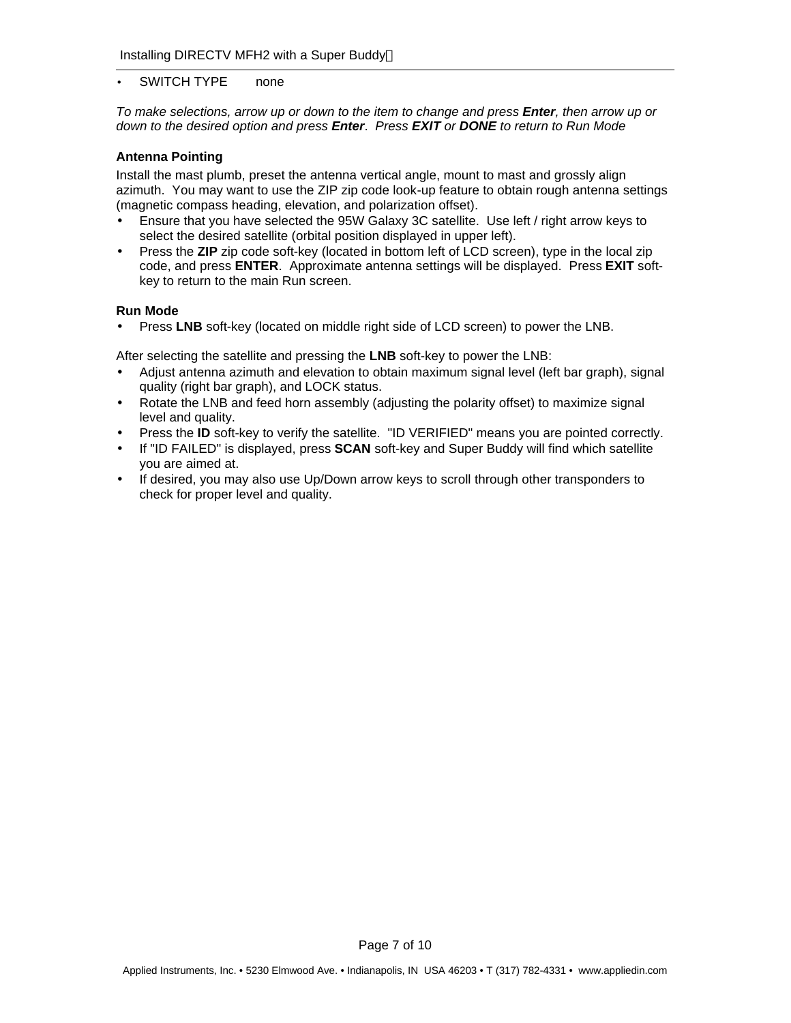### • SWITCH TYPE none

*To make selections, arrow up or down to the item to change and press Enter, then arrow up or down to the desired option and press Enter*. *Press EXIT or DONE to return to Run Mode*

#### **Antenna Pointing**

Install the mast plumb, preset the antenna vertical angle, mount to mast and grossly align azimuth. You may want to use the ZIP zip code look-up feature to obtain rough antenna settings (magnetic compass heading, elevation, and polarization offset).

- Ensure that you have selected the 95W Galaxy 3C satellite. Use left / right arrow keys to select the desired satellite (orbital position displayed in upper left).
- Press the **ZIP** zip code soft-key (located in bottom left of LCD screen), type in the local zip code, and press **ENTER**. Approximate antenna settings will be displayed. Press **EXIT** softkey to return to the main Run screen.

#### **Run Mode**

• Press **LNB** soft-key (located on middle right side of LCD screen) to power the LNB.

After selecting the satellite and pressing the **LNB** soft-key to power the LNB:

- Adjust antenna azimuth and elevation to obtain maximum signal level (left bar graph), signal quality (right bar graph), and LOCK status.
- Rotate the LNB and feed horn assembly (adjusting the polarity offset) to maximize signal level and quality.
- Press the **ID** soft-key to verify the satellite. "ID VERIFIED" means you are pointed correctly.
- If "ID FAILED" is displayed, press **SCAN** soft-key and Super Buddy will find which satellite you are aimed at.
- If desired, you may also use Up/Down arrow keys to scroll through other transponders to check for proper level and quality.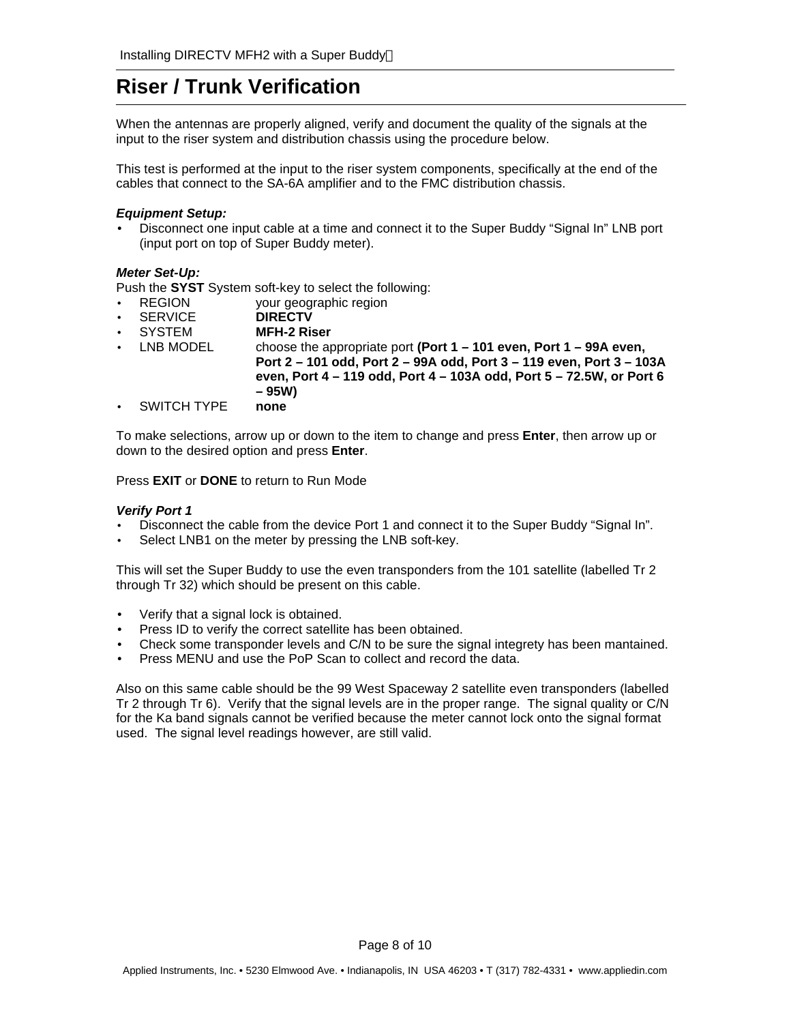# **Riser / Trunk Verification**

When the antennas are properly aligned, verify and document the quality of the signals at the input to the riser system and distribution chassis using the procedure below.

This test is performed at the input to the riser system components, specifically at the end of the cables that connect to the SA-6A amplifier and to the FMC distribution chassis.

#### *Equipment Setup:*

• Disconnect one input cable at a time and connect it to the Super Buddy "Signal In" LNB port (input port on top of Super Buddy meter).

### *Meter Set-Up:*

Push the **SYST** System soft-key to select the following:

- REGION your geographic region
- SERVICE **DIRECTV**
- SYSTEM **MFH-2 Riser**
- LNB MODEL choose the appropriate port **(Port 1 101 even, Port 1 99A even, Port 2 – 101 odd, Port 2 – 99A odd, Port 3 – 119 even, Port 3 – 103A even, Port 4 – 119 odd, Port 4 – 103A odd, Port 5 – 72.5W, or Port 6 – 95W)**
- SWITCH TYPE **none**

To make selections, arrow up or down to the item to change and press **Enter**, then arrow up or down to the desired option and press **Enter**.

Press **EXIT** or **DONE** to return to Run Mode

#### *Verify Port 1*

- Disconnect the cable from the device Port 1 and connect it to the Super Buddy "Signal In".
- Select LNB1 on the meter by pressing the LNB soft-key.

This will set the Super Buddy to use the even transponders from the 101 satellite (labelled Tr 2 through Tr 32) which should be present on this cable.

- Verify that a signal lock is obtained.
- Press ID to verify the correct satellite has been obtained.
- Check some transponder levels and C/N to be sure the signal integrety has been mantained.
- Press MENU and use the PoP Scan to collect and record the data.

Also on this same cable should be the 99 West Spaceway 2 satellite even transponders (labelled Tr 2 through Tr 6). Verify that the signal levels are in the proper range. The signal quality or C/N for the Ka band signals cannot be verified because the meter cannot lock onto the signal format used. The signal level readings however, are still valid.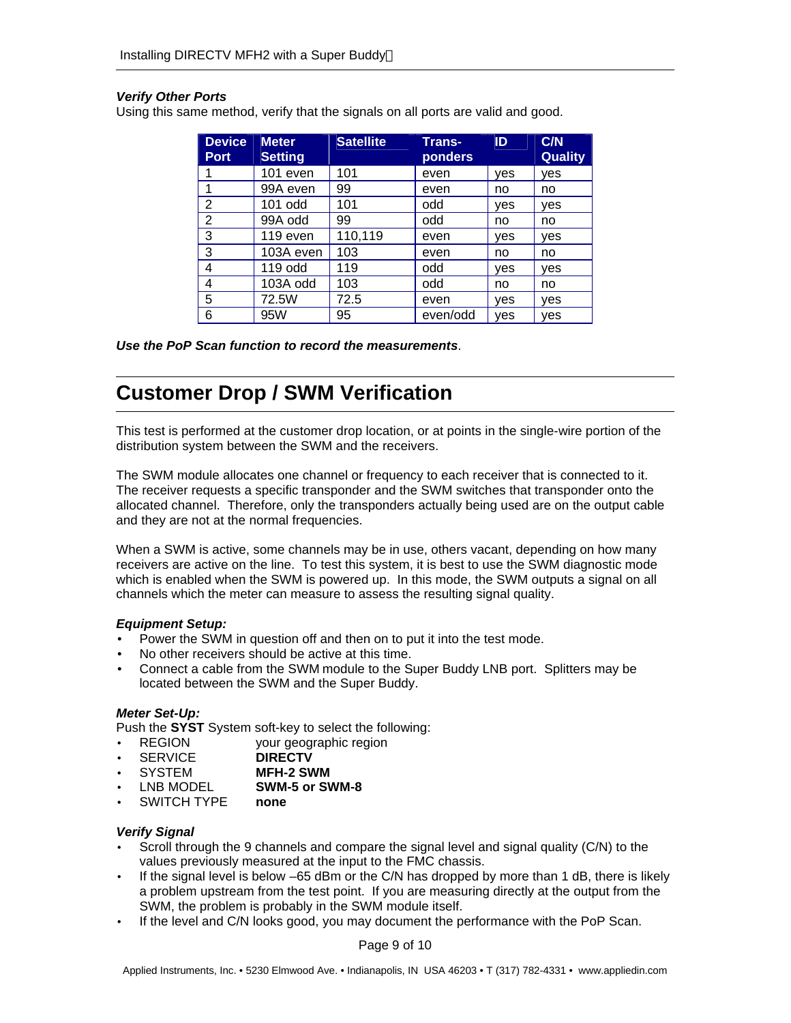### *Verify Other Ports*

Using this same method, verify that the signals on all ports are valid and good.

| <b>Device</b><br><b>Port</b> | <b>Meter</b><br><b>Setting</b> | <b>Satellite</b> | <b>Trans-</b><br>ponders | ID  | C/N<br><b>Quality</b> |
|------------------------------|--------------------------------|------------------|--------------------------|-----|-----------------------|
|                              | 101 even                       | 101              | even                     | ves | ves                   |
|                              | 99A even                       | 99               | even                     | no  | no                    |
| 2                            | $101$ odd                      | 101              | odd                      | ves | ves                   |
| 2                            | 99A odd                        | 99               | odd                      | no  | no                    |
| 3                            | 119 even                       | 110,119          | even                     | ves | ves                   |
| 3                            | 103A even                      | 103              | even                     | no  | no                    |
| 4                            | 119 odd                        | 119              | odd                      | ves | ves                   |
| 4                            | 103A odd                       | 103              | odd                      | no  | no                    |
| 5                            | 72.5W                          | 72.5             | even                     | ves | ves                   |
| 6                            | 95W                            | 95               | even/odd                 | ves | ves                   |

*Use the PoP Scan function to record the measurements*.

# **Customer Drop / SWM Verification**

This test is performed at the customer drop location, or at points in the single-wire portion of the distribution system between the SWM and the receivers.

The SWM module allocates one channel or frequency to each receiver that is connected to it. The receiver requests a specific transponder and the SWM switches that transponder onto the allocated channel. Therefore, only the transponders actually being used are on the output cable and they are not at the normal frequencies.

When a SWM is active, some channels may be in use, others vacant, depending on how many receivers are active on the line. To test this system, it is best to use the SWM diagnostic mode which is enabled when the SWM is powered up. In this mode, the SWM outputs a signal on all channels which the meter can measure to assess the resulting signal quality.

### *Equipment Setup:*

- Power the SWM in question off and then on to put it into the test mode.
- No other receivers should be active at this time.
- Connect a cable from the SWM module to the Super Buddy LNB port. Splitters may be located between the SWM and the Super Buddy.

### *Meter Set-Up:*

Push the **SYST** System soft-key to select the following:

- REGION your geographic region
- SERVICE **DIRECTV**
- SYSTEM **MFH-2 SWM**
- LNB MODEL **SWM-5 or SWM-8**
- SWITCH TYPE **none**

### *Verify Signal*

- Scroll through the 9 channels and compare the signal level and signal quality (C/N) to the values previously measured at the input to the FMC chassis.
- If the signal level is below –65 dBm or the C/N has dropped by more than 1 dB, there is likely a problem upstream from the test point. If you are measuring directly at the output from the SWM, the problem is probably in the SWM module itself.
- If the level and C/N looks good, you may document the performance with the PoP Scan.